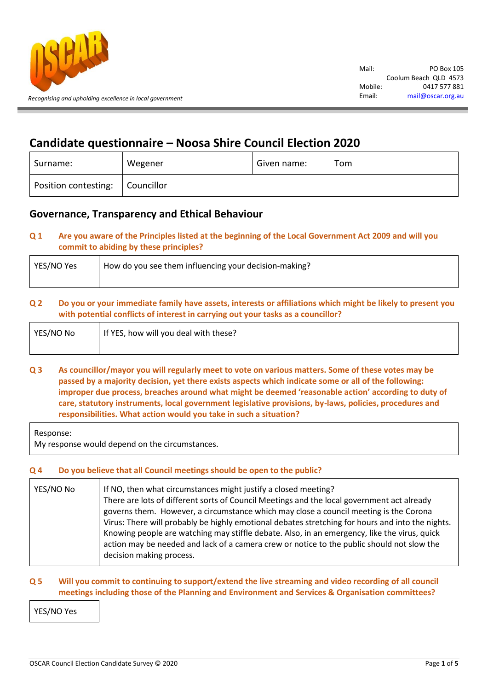

# **Candidate questionnaire – Noosa Shire Council Election 2020**

| Surname:             | Wegener    | Given name: | Tom |
|----------------------|------------|-------------|-----|
| Position contesting: | Councillor |             |     |

## **Governance, Transparency and Ethical Behaviour**

## **Q 1 Are you aware of the Principles listed at the beginning of the Local Government Act 2009 and will you commit to abiding by these principles?**

| YES/NO Yes | How do you see them influencing your decision-making? |
|------------|-------------------------------------------------------|
|            |                                                       |

## **Q 2 Do you or your immediate family have assets, interests or affiliations which might be likely to present you with potential conflicts of interest in carrying out your tasks as a councillor?**

| YES/NO No | If YES, how will you deal with these? |
|-----------|---------------------------------------|
|           |                                       |

**Q 3 As councillor/mayor you will regularly meet to vote on various matters. Some of these votes may be passed by a majority decision, yet there exists aspects which indicate some or all of the following: improper due process, breaches around what might be deemed 'reasonable action' according to duty of care, statutory instruments, local government legislative provisions, by-laws, policies, procedures and responsibilities. What action would you take in such a situation?**

Response:

My response would depend on the circumstances.

## **Q 4 Do you believe that all Council meetings should be open to the public?**

| YES/NO No | If NO, then what circumstances might justify a closed meeting?<br>There are lots of different sorts of Council Meetings and the local government act already<br>governs them. However, a circumstance which may close a council meeting is the Corona<br>Virus: There will probably be highly emotional debates stretching for hours and into the nights.<br>Knowing people are watching may stiffle debate. Also, in an emergency, like the virus, quick<br>action may be needed and lack of a camera crew or notice to the public should not slow the |
|-----------|---------------------------------------------------------------------------------------------------------------------------------------------------------------------------------------------------------------------------------------------------------------------------------------------------------------------------------------------------------------------------------------------------------------------------------------------------------------------------------------------------------------------------------------------------------|
|           | decision making process.                                                                                                                                                                                                                                                                                                                                                                                                                                                                                                                                |

## **Q 5 Will you commit to continuing to support/extend the live streaming and video recording of all council meetings including those of the Planning and Environment and Services & Organisation committees?**

YES/NO Yes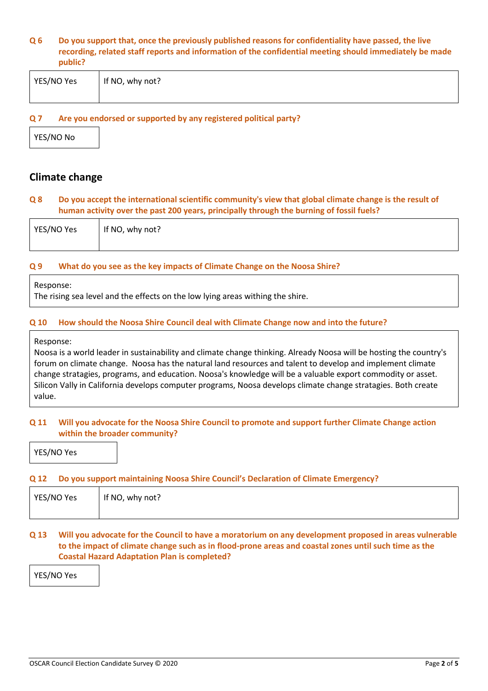#### **Q 6 Do you support that, once the previously published reasons for confidentiality have passed, the live recording, related staff reports and information of the confidential meeting should immediately be made public?**

| YES/NO Yes | If NO, why not? |
|------------|-----------------|
|            |                 |

#### **Q 7 Are you endorsed or supported by any registered political party?**

YES/NO No

## **Climate change**

#### **Q 8 Do you accept the international scientific community's view that global climate change is the result of human activity over the past 200 years, principally through the burning of fossil fuels?**

| YES/NO Yes | If NO, why not? |
|------------|-----------------|
|            |                 |

#### **Q 9 What do you see as the key impacts of Climate Change on the Noosa Shire?**

#### Response:

The rising sea level and the effects on the low lying areas withing the shire.

#### **Q 10 How should the Noosa Shire Council deal with Climate Change now and into the future?**

Response:

Noosa is a world leader in sustainability and climate change thinking. Already Noosa will be hosting the country's forum on climate change. Noosa has the natural land resources and talent to develop and implement climate change stratagies, programs, and education. Noosa's knowledge will be a valuable export commodity or asset. Silicon Vally in California develops computer programs, Noosa develops climate change stratagies. Both create value.

#### **Q 11 Will you advocate for the Noosa Shire Council to promote and support further Climate Change action within the broader community?**

YES/NO Yes

#### **Q 12 Do you support maintaining Noosa Shire Council's Declaration of Climate Emergency?**

| YES/NO Yes | If NO, why not? |
|------------|-----------------|
|            |                 |

## **Q 13 Will you advocate for the Council to have a moratorium on any development proposed in areas vulnerable to the impact of climate change such as in flood-prone areas and coastal zones until such time as the Coastal Hazard Adaptation Plan is completed?**

YES/NO Yes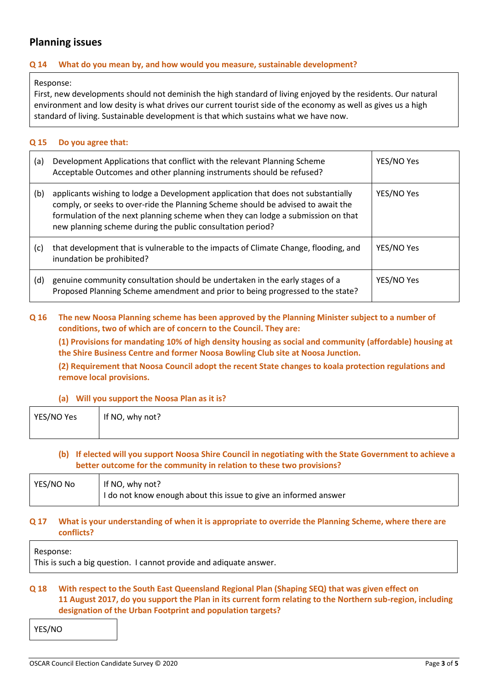# **Planning issues**

## **Q 14 What do you mean by, and how would you measure, sustainable development?**

Response:

First, new developments should not deminish the high standard of living enjoyed by the residents. Our natural environment and low desity is what drives our current tourist side of the economy as well as gives us a high standard of living. Sustainable development is that which sustains what we have now.

#### **Q 15 Do you agree that:**

| (a) | Development Applications that conflict with the relevant Planning Scheme<br>Acceptable Outcomes and other planning instruments should be refused?                                                                                                                                                                       | YES/NO Yes |
|-----|-------------------------------------------------------------------------------------------------------------------------------------------------------------------------------------------------------------------------------------------------------------------------------------------------------------------------|------------|
| (b) | applicants wishing to lodge a Development application that does not substantially<br>comply, or seeks to over-ride the Planning Scheme should be advised to await the<br>formulation of the next planning scheme when they can lodge a submission on that<br>new planning scheme during the public consultation period? | YES/NO Yes |
| (c) | that development that is vulnerable to the impacts of Climate Change, flooding, and<br>inundation be prohibited?                                                                                                                                                                                                        | YES/NO Yes |
| (d) | genuine community consultation should be undertaken in the early stages of a<br>Proposed Planning Scheme amendment and prior to being progressed to the state?                                                                                                                                                          | YES/NO Yes |

## **Q 16 The new Noosa Planning scheme has been approved by the Planning Minister subject to a number of conditions, two of which are of concern to the Council. They are:**

**(1) Provisions for mandating 10% of high density housing as social and community (affordable) housing at the Shire Business Centre and former Noosa Bowling Club site at Noosa Junction.**

**(2) Requirement that Noosa Council adopt the recent State changes to koala protection regulations and remove local provisions.**

#### **(a) Will you support the Noosa Plan as it is?**

| YES/NO Yes | If NO, why not? |
|------------|-----------------|
|            |                 |

## **(b) If elected will you support Noosa Shire Council in negotiating with the State Government to achieve a better outcome for the community in relation to these two provisions?**

| YES/NO No | If NO, why not?<br>I do not know enough about this issue to give an informed answer |
|-----------|-------------------------------------------------------------------------------------|
|           |                                                                                     |

#### **Q 17 What is your understanding of when it is appropriate to override the Planning Scheme, where there are conflicts?**

Response:

This is such a big question. I cannot provide and adiquate answer.

## **Q 18 With respect to the South East Queensland Regional Plan (Shaping SEQ) that was given effect on 11 August 2017, do you support the Plan in its current form relating to the Northern sub-region, including designation of the Urban Footprint and population targets?**

YES/NO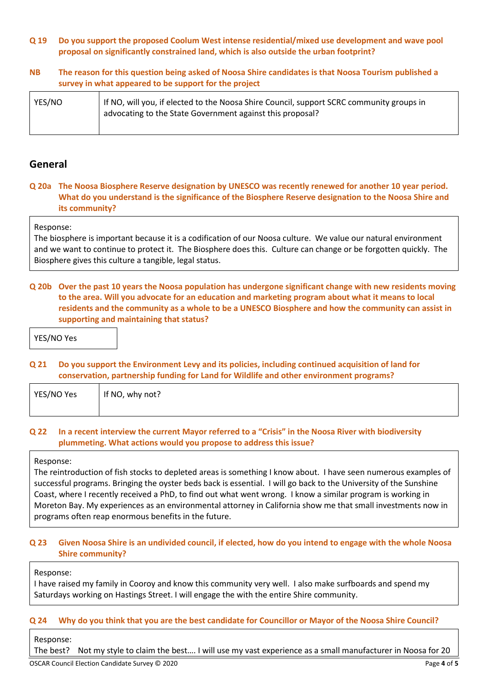#### **Q 19 Do you support the proposed Coolum West intense residential/mixed use development and wave pool proposal on significantly constrained land, which is also outside the urban footprint?**

## **NB The reason for this question being asked of Noosa Shire candidates is that Noosa Tourism published a survey in what appeared to be support for the project**

| YES/NO | If NO, will you, if elected to the Noosa Shire Council, support SCRC community groups in<br>advocating to the State Government against this proposal? |
|--------|-------------------------------------------------------------------------------------------------------------------------------------------------------|
|        |                                                                                                                                                       |

## **General**

## **Q 20a The Noosa Biosphere Reserve designation by UNESCO was recently renewed for another 10 year period. What do you understand is the significance of the Biosphere Reserve designation to the Noosa Shire and its community?**

#### Response:

The biosphere is important because it is a codification of our Noosa culture. We value our natural environment and we want to continue to protect it. The Biosphere does this. Culture can change or be forgotten quickly. The Biosphere gives this culture a tangible, legal status.

## **Q 20b Over the past 10 years the Noosa population has undergone significant change with new residents moving to the area. Will you advocate for an education and marketing program about what it means to local residents and the community as a whole to be a UNESCO Biosphere and how the community can assist in supporting and maintaining that status?**

YES/NO Yes

## **Q 21 Do you support the Environment Levy and its policies, including continued acquisition of land for conservation, partnership funding for Land for Wildlife and other environment programs?**

| YES/NO Yes | If NO, why not? |
|------------|-----------------|
|            |                 |

#### **Q 22 In a recent interview the current Mayor referred to a "Crisis" in the Noosa River with biodiversity plummeting. What actions would you propose to address this issue?**

#### Response:

The reintroduction of fish stocks to depleted areas is something I know about. I have seen numerous examples of successful programs. Bringing the oyster beds back is essential. I will go back to the University of the Sunshine Coast, where I recently received a PhD, to find out what went wrong. I know a similar program is working in Moreton Bay. My experiences as an environmental attorney in California show me that small investments now in programs often reap enormous benefits in the future.

## **Q 23 Given Noosa Shire is an undivided council, if elected, how do you intend to engage with the whole Noosa Shire community?**

Response:

I have raised my family in Cooroy and know this community very well. I also make surfboards and spend my Saturdays working on Hastings Street. I will engage the with the entire Shire community.

## **Q 24 Why do you think that you are the best candidate for Councillor or Mayor of the Noosa Shire Council?**

Response:

The best? Not my style to claim the best…. I will use my vast experience as a small manufacturer in Noosa for 20